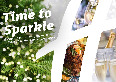# *Time to [Sparkle](https://birmingham-bromsgrove.hichristmas.co.uk) Book your Christmas Party and Events*

*at Holiday Inn® Birmingham - Bromsgrove*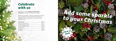Why not join us at the Holiday Inn Birmingham - Bromsgrove to celebrate Christmas 2022 in style?

Whether you're looking to organise a spectacular Christmas party for colleagues, a festive night out for friends or a celebratory feast with loved ones, we've got the perfect package for you.

## *Celebrate with us*



2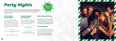## *All-Inclusive Party Nights*

Our all-inclusive party nights include everything you need for the perfect festive night out! Enjoy a three-course meal, disco and drinks throughout the evening. The bar will offer you plenty of choice from house wine. house spirits & mixers, draught lager/beer, selected alcopops and soft drinks all included in the price. The all-inclusive bar is available from 8pm - 12am

A glass of chilled fizz will be waiting for you upon arrival at our festive party night. Enjoy a three course meal and then dance the night away with our DJ who will take you through the decades with all the partu classics!

**£44.95 per adult**

**Fridays: 25<sup>th</sup> November and 20<sup>th</sup> January** 

## *[Party Nights](https://birmingham-bromsgrove.hichristmas.co.uk)*

Our festive party nights will be held in the Fairfield suite which can accommodate up to 180 people and has it's own private bar area. All-Inclusive and Dance through the Decades parties commence at 7.30pm, dinner served at 8.00pm, last orders at mid-night and carriages at 12.30am.

## *Dance Through the Decades*

**Friday 23rd December**  Saturdays: 3<sup>rd</sup>, 10<sup>th</sup> and 17<sup>th</sup> December

### **£32.95 per adult**

### **Saturday 26<sup>th</sup> November**

*Meet, Stay and Party*

Work, rest and play! Join us throughout November, December or January with your colleagues for a full-day meeting, your choice of celebration in the evening, overnight accommodation and breakfast the following day. Plan your end-of-year meeting



## *Private Parties*

From intimate family gatherings to large corporate parties, we have functions rooms available to hire based on your requirements. Please contact us so we can help you plan your perfect celebration. Minimum numbers apply. Prices available upon request. Pre-booking only and subject to availability. Dates sell fast so enquire today!

**£54.95 per adult**

**Fridays: 2nd, 9th and 16th December**

**£34.95 per adult**

4

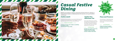## *[Casual Festive](https://birmingham-bromsgrove.hichristmas.co.uk) Dining*

Whether you're looking to organise a spectacular Christmas dinner for colleagues, a festive lunch for friends or a celebratory feast with loved ones, we've got the perfect event for you.

## *Festive Lunch*

Our festive lunches are perfect for any occasion, whether you want to spend time with family, friends or work colleagues. Includes a glass of fizz upon arrival and a three-course festive meal.

**Available seven days a week. (subject to availability). Pre-booking essential. Call 03333 209 322 opt 4 to book.**

## *Pizza and Prosecco*

Pizza and Prosecco = Perfect! Book today so you can enjoy a pizza and a glass of Prosecco each in the relaxed atmosphere of our lounge.

### **£14.95 per person**

## *Festive Fizz Afternoon Tea*

Enjoy a festive afternoon tea, including tea & coffee and a refreshing glass of fizz! The perfect treat for anyone to enjoy. It also includes a selection of sandwiches, scones with cream & jam and a mouthwatering slice of seasonal cake.



### **£18.00 per person**



**From £17.95 per person**

**Available every Tuesday and Thursday throughout December at 12pm, 12:30pm and 1pm. Pre-booking essential, available to book online.** 

**Fridays and Sundays throughout December at 5pm, 6pm and 6:30pm. Available to book online.**

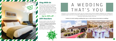## *Stay With Us*

Why not make a night of it and enjoy our special Christmas rates? Room types include standard double, family and twin. Take advantage of up to 20% off our best flexible, bed and breakfast rate. No deposit required and can be cancelled free of charge up to 48 hours prior to arrival.

## *Gift Vouchers* $-$  Up to 20% off  $-$

We are excited to share with you the amazing gift vouchers we now have available at Holiday Inn Birmingham - Bromsgrove. From delightful afternoon teas to overnight break packages, there's a gift for everyone. Give the gift of travel this year!



Christmas is such a wonderful time of year, why not consider having a festive wedding celebration? Our weddings are [available all year round and our fantastic wedding team will work with you to ensure you get everything you desire to](http://www.hi-birminghambromsgrove.co.uk/weddings)  make your special day a dream come true.



## Contact us to start creating a wedding that's you, or click to find out more about our weddings



## A WEDDING THAT'S YOU